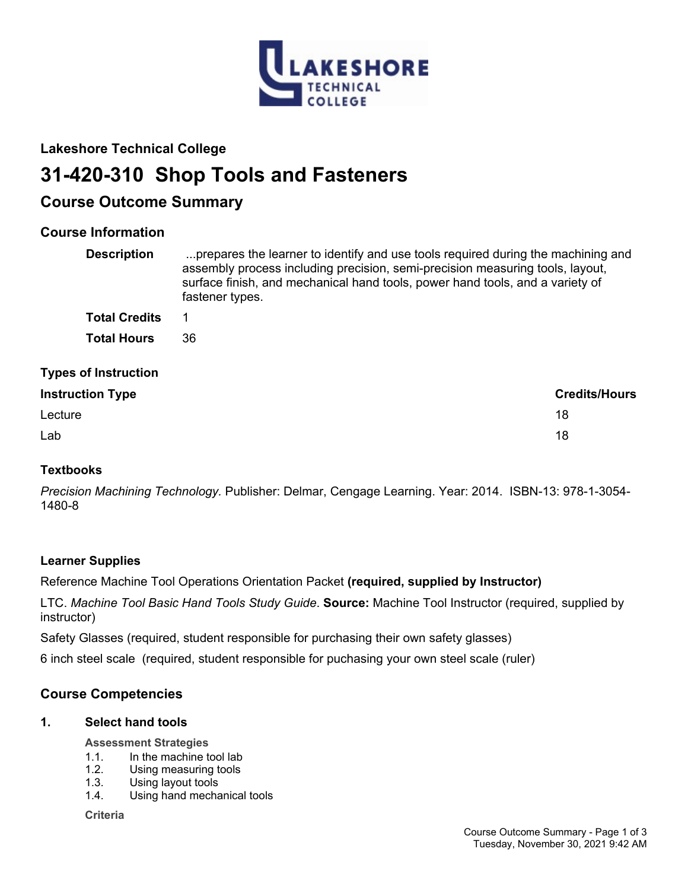

## **Lakeshore Technical College**

# **31-420-310 Shop Tools and Fasteners**

## **Course Outcome Summary**

## **Course Information**

| <b>Description</b>          | prepares the learner to identify and use tools required during the machining and<br>assembly process including precision, semi-precision measuring tools, layout,<br>surface finish, and mechanical hand tools, power hand tools, and a variety of<br>fastener types. |  |
|-----------------------------|-----------------------------------------------------------------------------------------------------------------------------------------------------------------------------------------------------------------------------------------------------------------------|--|
| <b>Total Credits</b>        | 1                                                                                                                                                                                                                                                                     |  |
| <b>Total Hours</b>          | 36                                                                                                                                                                                                                                                                    |  |
| <b>Types of Instruction</b> |                                                                                                                                                                                                                                                                       |  |
| <b>Instruction Type</b>     | <b>Credits/Hours</b>                                                                                                                                                                                                                                                  |  |
| Lecture                     | 18                                                                                                                                                                                                                                                                    |  |
| Lab                         | 18                                                                                                                                                                                                                                                                    |  |

## **Textbooks**

*Precision Machining Technology.* Publisher: Delmar, Cengage Learning. Year: 2014. ISBN-13: 978-1-3054- 1480-8

## **Learner Supplies**

Reference Machine Tool Operations Orientation Packet **(required, supplied by Instructor)**

LTC. *Machine Tool Basic Hand Tools Study Guide*. **Source:** Machine Tool Instructor (required, supplied by instructor)

Safety Glasses (required, student responsible for purchasing their own safety glasses)

6 inch steel scale (required, student responsible for puchasing your own steel scale (ruler)

## **Course Competencies**

## **1. Select hand tools**

**Assessment Strategies**

- 1.1. In the machine tool lab
- 1.2. Using measuring tools
- 1.3. Using layout tools
- 1.4. Using hand mechanical tools

**Criteria**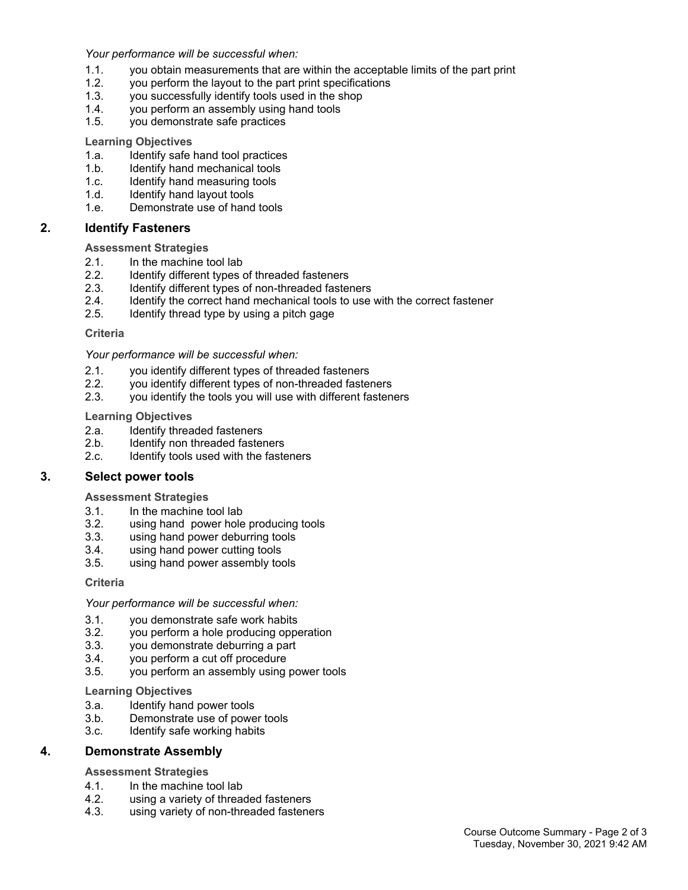*Your performance will be successful when:*

- 1.1. you obtain measurements that are within the acceptable limits of the part print
- 1.2. you perform the layout to the part print specifications
- 1.3. you successfully identify tools used in the shop
- 1.4. you perform an assembly using hand tools
- 1.5. you demonstrate safe practices

#### **Learning Objectives**

- 1.a. Identify safe hand tool practices
- 1.b. Identify hand mechanical tools
- 1.c. Identify hand measuring tools
- 1.d. Identify hand layout tools
- 1.e. Demonstrate use of hand tools

#### **2. Identify Fasteners**

**Assessment Strategies**

- 2.1. In the machine tool lab 2.2. Identify different types
- Identify different types of threaded fasteners
- 2.3. Identify different types of non-threaded fasteners
- 2.4. Identify the correct hand mechanical tools to use with the correct fastener
- 2.5. Identify thread type by using a pitch gage

#### **Criteria**

#### *Your performance will be successful when:*

- 2.1. you identify different types of threaded fasteners
- 2.2. you identify different types of non-threaded fasteners<br>2.3. vou identify the tools you will use with different fasten
- you identify the tools you will use with different fasteners

#### **Learning Objectives**

- 2.a. Identify threaded fasteners
- 2.b. Identify non threaded fasteners
- 2.c. Identify tools used with the fasteners

#### **3. Select power tools**

#### **Assessment Strategies**

- 3.1. In the machine tool lab
- 3.2. using hand power hole producing tools
- 3.3. using hand power deburring tools
- 3.4. using hand power cutting tools
- 3.5. using hand power assembly tools

#### **Criteria**

#### *Your performance will be successful when:*

- 3.1. you demonstrate safe work habits
- 3.2. you perform a hole producing opperation
- 3.3. you demonstrate deburring a part
- 3.4. you perform a cut off procedure
- 3.5. you perform an assembly using power tools

#### **Learning Objectives**

- 3.a. Identify hand power tools
- 3.b. Demonstrate use of power tools
- 3.c. Identify safe working habits

#### **4. Demonstrate Assembly**

#### **Assessment Strategies**

- 4.1. In the machine tool lab
- 4.2. using a variety of threaded fasteners<br>4.3. using variety of non-threaded fastene
- using variety of non-threaded fasteners